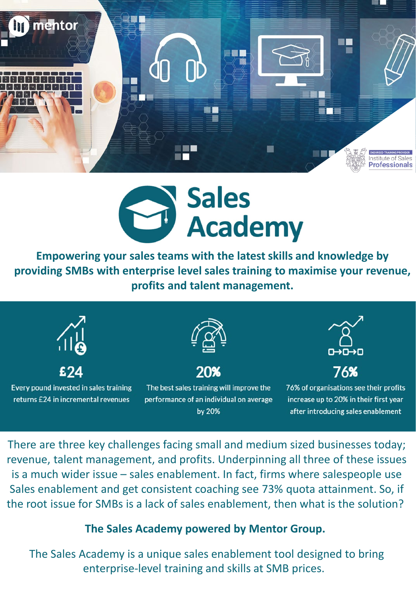



**Empowering your sales teams with the latest skills and knowledge by providing SMBs with enterprise level sales training to maximise your revenue, profits and talent management.**



There are three key challenges facing small and medium sized businesses today; revenue, talent management, and profits. Underpinning all three of these issues is a much wider issue – sales enablement. In fact, firms where salespeople use Sales enablement and get consistent coaching see 73% quota attainment. So, if the root issue for SMBs is a lack of sales enablement, then what is the solution?

## **The Sales Academy powered by Mentor Group.**

The Sales Academy is a unique sales enablement tool designed to bring enterprise-level training and skills at SMB prices.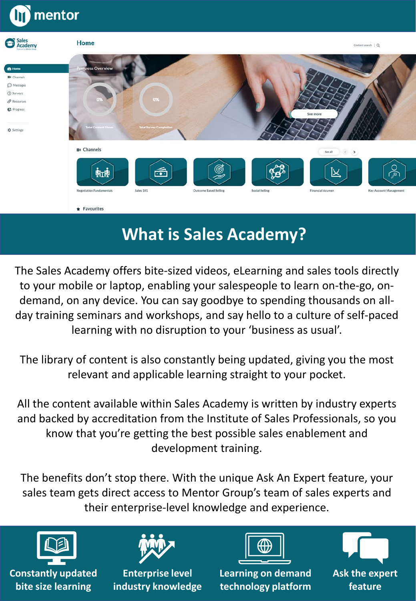

# **What is Sales Academy?**

The Sales Academy offers bite-sized videos, eLearning and sales tools directly to your mobile or laptop, enabling your salespeople to learn on-the-go, ondemand, on any device. You can say goodbye to spending thousands on allday training seminars and workshops, and say hello to a culture of self-paced learning with no disruption to your 'business as usual'.

The library of content is also constantly being updated, giving you the most relevant and applicable learning straight to your pocket.

All the content available within Sales Academy is written by industry experts and backed by accreditation from the Institute of Sales Professionals, so you know that you're getting the best possible sales enablement and development training.

The benefits don't stop there. With the unique Ask An Expert feature, your sales team gets direct access to Mentor Group's team of sales experts and their enterprise-level knowledge and experience.



**Constantly updated bite size learning**



**Enterprise level industry knowledge**



**Learning on demand technology platform**

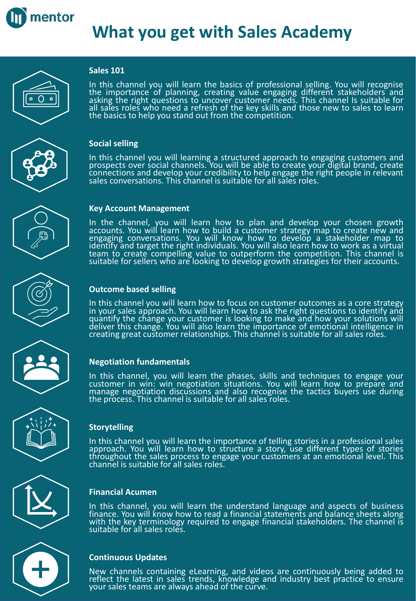

# **What you get with Sales Academy**



#### **Sales 101**

In this channel you will learn the basics of professional selling. You will recognise<br>the importance of planning, creating value engaging different stakeholders and asking the right questions to uncover customer needs. This channel Is suitable for all sales roles who need a refresh of the key skills and those new to sales to learn the basics to help you stand out from the competition.



#### **Social selling**

In this channel you will learning a structured approach to engaging customers and prospects over social channels. You will be able to create your digital brand, create connections and develop your credibility to help engage the right people in relevant sales conversations. This channel is suitable for all sales roles.



#### **Key Account Management**

In the channel, you will learn how to plan and develop your chosen growth accounts. You will learn how to build a customer strategy map to create new and engaging conversations. You will know how to develop a stakeholder map to identify and target the right individuals. You will also learn how to work as a virtual team to create compelling value to outperform the competition. This channel is suitable for sellers who are looking to develop growth strategies for their accounts.



## **Outcome based selling**

In this channel you will learn how to focus on customer outcomes as a core strategy in your sales approach. You will learn how to ask the right questions to identify and quantify the change your customer is looking to make and how your solutions will deliver this change. You will also learn the importance of emotional intelligence in creating great customer relationships. This channel is suitable for all sales roles.

#### **Negotiation fundamentals**

In this channel, you will learn the phases, skills and techniques to engage your customer in win: win negotiation situations. You will learn how to prepare and manage negotiation discussions and also recognise the tactics buyers use during the process. This channel is suitable for all sales roles.



#### **Storytelling**

In this channel you will learn the importance of telling stories in a professional sales approach. You will learn how to structure a story, use different types of stories throughout the sales process to engage your customers at an emotional level. This channel is suitable for all sales roles.



### **Financial Acumen**

In this channel, you will learn the understand language and aspects of business finance. You will know how to read a financial statements and balance sheets along<br>with the key terminology required to engage financial stakeholders. The channel is with the key terminology required to engage financial stakeholders. The channel is<br>suitable for all sales roles.

### **Continuous Updates**

New channels containing eLearning, and videos are continuously being added to reflect the latest in sales trends, knowledge and industry best practice to ensure your sales teams are always ahead of the curve.